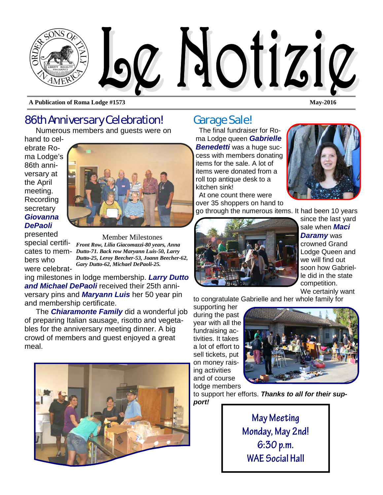

**A Publication of Roma Lodge #1573 May-2016** 

# 86th Anniversary Celebration!

Numerous members and guests were on

hand to celebrate Roma Lodge's 86th anniversary at the April meeting. Recording secretary *Giovanna DePaoli* 



presented special certifibers who were celebrat-

cates to mem-*Dutto-71. Back row Maryann Luis-50, Larry*  Member Milestones *Front Row, Lilia Giacomazzi-80 years, Anna Dutto-25, Leroy Beecher-53, Joann Beecher-62, Gary Dutto-62, Michael DePaoli-25.* 

ing milestones in lodge membership. *Larry Dutto and Michael DePaoli* received their 25th anniversary pins and *Maryann Luis* her 50 year pin and membership certificate.

The *Chiaramonte Family* did a wonderful job of preparing Italian sausage, risotto and vegetables for the anniversary meeting dinner. A big crowd of members and guest enjoyed a great meal.



# Garage Sale!

The final fundraiser for Roma Lodge queen *Gabrielle* 

*Benedetti* was a huge success with members donating items for the sale. A lot of items were donated from a roll top antique desk to a kitchen sink!

At one count there were over 35 shoppers on hand to



go through the numerous items. It had been 10 years



since the last yard sale when *Maci Daramy* was crowned Grand Lodge Queen and we will find out soon how Gabrielle did in the state competition. We certainly want

to congratulate Gabrielle and her whole family for

supporting her during the past year with all the fundraising activities. It takes a lot of effort to sell tickets, put on money raising activities and of course lodge members



to support her efforts. *Thanks to all for their support!* 

> **May Meeting Monday, May 2nd! 6:30 p.m. WAE Social Hall**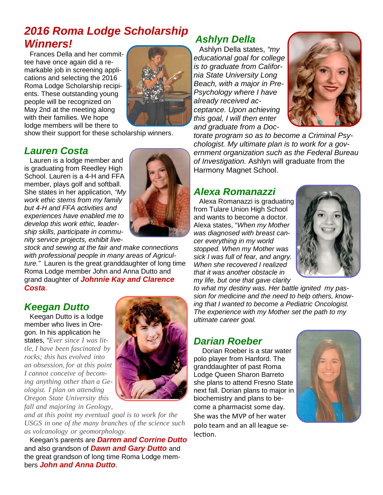# *2016 Roma Lodge Scholarship Winners!*

Frances Della and her committee have once again did a remarkable job in screening applications and selecting the 2016 Roma Lodge Scholarship recipients. These outstanding young people will be recognized on May 2nd at the meeting along with their families. We hope lodge members will be there to



show their support for these scholarship winners.

### *Lauren Costa*

Lauren is a lodge member and is graduating from Reedley High School. Lauren is a 4-H and FFA member, plays golf and softball. She states in her application, *"My work ethic stems from my family but 4-H and FFA activities and experiences have enabled me to develop this work ethic, leadership skills, participate in community service projects, exhibit live-*

*stock and sewing at the fair and make connections with professional people in many areas of Agriculture."* Lauren is the great granddaughter of long time Roma Lodge member John and Anna Dutto and grand daughter of *Johnnie Kay and Clarence Costa*.

### *Keegan Dutto*

Keegan Dutto is a lodge member who lives in Oregon. In his application he states, *"Ever since I was little, I have been fascinated by rocks; this has evolved into an obsession, for at this point I cannot conceive of becoming anything other than a Geologist. I plan on attending Oregon State University this fall and majoring in Geology,* 



*and at this point my eventual goal is to work for the USGS in one of the many branches of the science such as volcanology or geomorphology.*

Keegan's parents are *Darren and Corrine Dutto*  and also grandson of *Dawn and Gary Dutto* and the great grandson of long time Roma Lodge members *John and Anna Dutto*.

# *Ashlyn Della*

Ashlyn Della states, *"my educational goal for college is to graduate from California State University Long Beach, with a major in Pre-Psychology where I have already received acceptance. Upon achieving this goal, I will then enter and graduate from a Doc-*



*torate program so as to become a Criminal Psychologist. My ultimate plan is to work for a government organization such as the Federal Bureau of Investigation.* Ashlyn will graduate from the Harmony Magnet School.

### *Alexa Romanazzi*

Alexa Romanazzi is graduating from Tulare Union High School and wants to become a doctor. Alexa states, "*When my Mother was diagnosed with breast cancer everything in my world stopped. When my Mother was sick I was full of fear, and angry. When she recovered I realized that it was another obstacle in my life, but one that gave clarity* 



*to what my destiny was. Her battle ignited my passion for medicine and the need to help others, knowing that I wanted to become a Pediatric Oncologist. The experience with my Mother set the path to my ultimate career goal.* 

### *Darian Roeber*

Dorian Roeber is a star water polo player from Hanford. The granddaughter of past Roma Lodge Queen Sharon Barreto she plans to attend Fresno State next fall. Dorian plans to major in biochemistry and plans to become a pharmacist some day. She was the MVP of her water polo team and an all league se‐ lection.

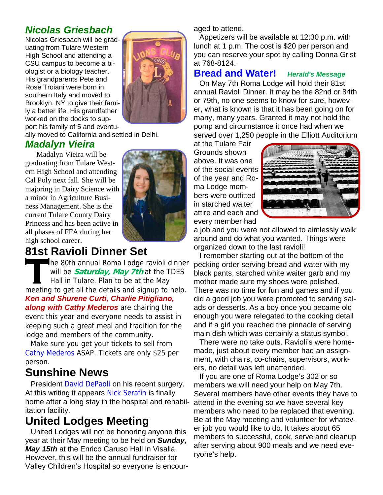### *Nicolas Griesbach*

Nicolas Griesbach will be graduating from Tulare Western High School and attending a CSU campus to become a biologist or a biology teacher. His grandparents Pete and Rose Troiani were born in southern Italy and moved to Brooklyn, NY to give their family a better life. His grandfather worked on the docks to support his family of 5 and eventu-



ally moved to California and settled in Delhi.

#### *Madalyn Vieira*

Madalyn Vieira will be graduating from Tulare Western High School and attending Cal Poly next fall. She will be majoring in Dairy Science with a minor in Agriculture Business Management. She is the current Tulare County Dairy Princess and has been active in all phases of FFA during her high school career.

# **81st Ravioli Dinner Set**

**T**he 80th annual Roma Lodge ravioli dinner will be **Saturday, May 7th** at the TDES Hall in Tulare. Plan to be at the May meeting to get all the details and signup to help. *Ken and Shurene Curti, Charlie Pitigliano, along with Cathy Mederos* are chairing the event this year and everyone needs to assist in keeping such a great meal and tradition for the lodge and members of the community.

Make sure you get your tickets to sell from Cathy Mederos ASAP. Tickets are only \$25 per person.

# **Sunshine News**

President David DePaoli on his recent surgery. At this writing it appears Nick Serafin is finally home after a long stay in the hospital and rehabilitation facility.

# **United Lodges Meeting**

United Lodges will not be honoring anyone this year at their May meeting to be held on *Sunday, May 15th* at the Enrico Caruso Hall in Visalia. However, this will be the annual fundraiser for Valley Children's Hospital so everyone is encouraged to attend.

Appetizers will be available at 12:30 p.m. with lunch at 1 p.m. The cost is \$20 per person and you can reserve your spot by calling Donna Grist at 768-8124.

#### **Bread and Water!** *Herald's Message*

On May 7th Roma Lodge will hold their 81st annual Ravioli Dinner. It may be the 82nd or 84th or 79th, no one seems to know for sure, however, what is known is that it has been going on for many, many years. Granted it may not hold the pomp and circumstance it once had when we served over 1,250 people in the Elliott Auditorium

at the Tulare Fair Grounds shown above. It was one of the social events of the year and Roma Lodge members were outfitted in starched waiter attire and each and every member had



a job and you were not allowed to aimlessly walk around and do what you wanted. Things were organized down to the last ravioli!

I remember starting out at the bottom of the pecking order serving bread and water with my black pants, starched white waiter garb and my mother made sure my shoes were polished. There was no time for fun and games and if you did a good job you were promoted to serving salads or desserts. As a boy once you became old enough you were relegated to the cooking detail and if a girl you reached the pinnacle of serving main dish which was certainly a status symbol.

There were no take outs. Ravioli's were homemade, just about every member had an assignment, with chairs, co-chairs, supervisors, workers, no detail was left unattended.

If you are one of Roma Lodge's 302 or so members we will need your help on May 7th. Several members have other events they have to attend in the evening so we have several key members who need to be replaced that evening. Be at the May meeting and volunteer for whatever job you would like to do. It takes about 65 members to successful, cook, serve and cleanup after serving about 900 meals and we need everyone's help.